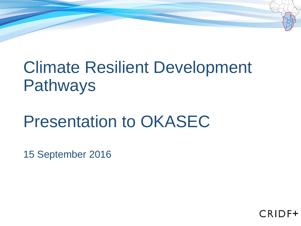# Climate Resilient Development Pathways

# Presentation to OKASEC

15 September 2016

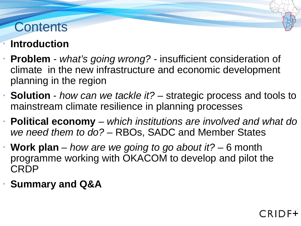#### **Contents**

#### **Introduction**

- **Problem** *what's going wrong?*  insufficient consideration of climate in the new infrastructure and economic development planning in the region
- **Solution** *how can we tackle it?*  strategic process and tools to mainstream climate resilience in planning processes
- **Political economy**  *which institutions are involved and what do we need them to do?* – RBOs, SADC and Member States

CRII

- **Work plan** *how are we going to go about it?*  6 month programme working with OKACOM to develop and pilot the CRDP
- **Summary and Q&A**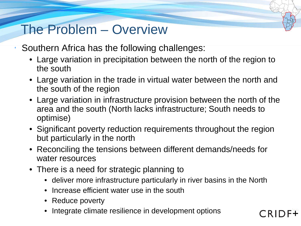#### The Problem – Overview

- Southern Africa has the following challenges:
	- Large variation in precipitation between the north of the region to the south
	- Large variation in the trade in virtual water between the north and the south of the region
	- Large variation in infrastructure provision between the north of the area and the south (North lacks infrastructure; South needs to optimise)
	- Significant poverty reduction requirements throughout the region but particularly in the north
	- Reconciling the tensions between different demands/needs for water resources
	- There is a need for strategic planning to
		- deliver more infrastructure particularly in river basins in the North

CRID

- Increase efficient water use in the south
- Reduce poverty
- Integrate climate resilience in development options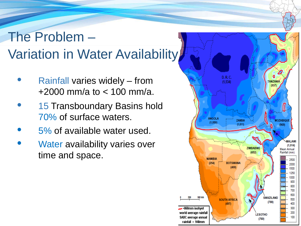## The Problem – Variation in Water Availability

- Rainfall varies widely from +2000 mm/a to < 100 mm/a.
- 15 Transboundary Basins hold 70% of surface waters.
- 5% of available water used.
- Water availability varies over time and space.

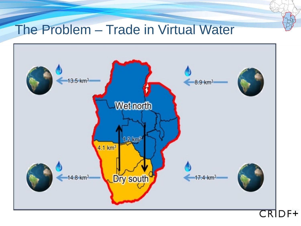#### The Problem – Trade in Virtual Water

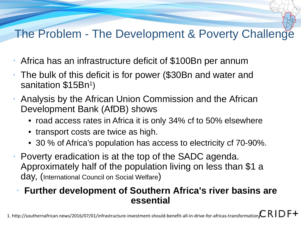#### The Problem - The Development & Poverty Challenge

- Africa has an infrastructure deficit of \$100Bn per annum
- The bulk of this deficit is for power (\$30Bn and water and  $\bullet$ sanitation \$15Bn<sup>1</sup>)
- Analysis by the African Union Commission and the African ٠ Development Bank (AfDB) shows
	- road access rates in Africa it is only 34% cf to 50% elsewhere
	- transport costs are twice as high.
	- 30 % of Africa's population has access to electricity cf 70-90%.
- Poverty eradication is at the top of the SADC agenda. Approximately half of the population living on less than \$1 a day, (International Council on Social Welfare)

#### **Further development of Southern Africa's river basins are essential**

1. http://southernafrican.news/2016/07/01/infrastructure-investment-should-benefit-all-in-drive-for-africas-transformation $\mathcal{L}$  R I D F +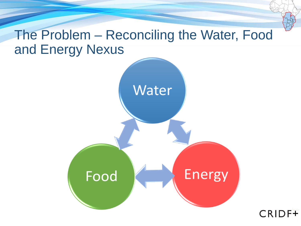#### The Problem – Reconciling the Water, Food and Energy Nexus

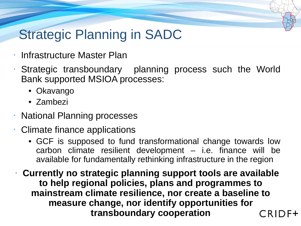#### Strategic Planning in SADC

- Infrastructure Master Plan
- Strategic transboundary planning process such the World Bank supported MSIOA processes:
	- Okavango
	- Zambezi
- **National Planning processes**
- Climate finance applications  $\bullet$ 
	- GCF is supposed to fund transformational change towards low carbon climate resilient development – i.e. finance will be available for fundamentally rethinking infrastructure in the region
- **Currently no strategic planning support tools are available to help regional policies, plans and programmes to mainstream climate resilience, nor create a baseline to measure change, nor identify opportunities for transboundary cooperationCRID**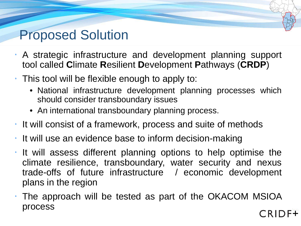#### Proposed Solution

- A strategic infrastructure and development planning support tool called **C**limate **R**esilient **D**evelopment **P**athways (**CRDP**)
- This tool will be flexible enough to apply to:
	- National infrastructure development planning processes which should consider transboundary issues
	- An international transboundary planning process.
- $\cdot$  It will consist of a framework, process and suite of methods
- It will use an evidence base to inform decision-making
- It will assess different planning options to help optimise the climate resilience, transboundary, water security and nexus trade-offs of future infrastructure / economic development plans in the region
- The approach will be tested as part of the OKACOM MSIOA processCRIDF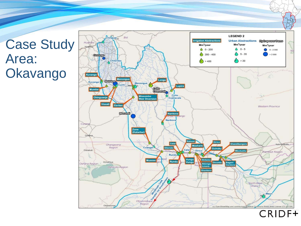Case Study Area: **Okavango** 



**CRIDF+**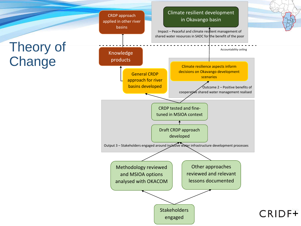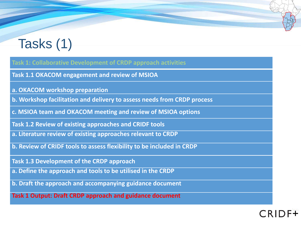## Tasks (1)

#### **Task 1: Collaborative Development of CRDP approach activities**

**Task 1.1 OKACOM engagement and review of MSIOA**

- **a. OKACOM workshop preparation**
- **b. Workshop facilitation and delivery to assess needs from CRDP process**
- **c. MSIOA team and OKACOM meeting and review of MSIOA options**
- **Task 1.2 Review of existing approaches and CRIDF tools**
- **a. Literature review of existing approaches relevant to CRDP**
- **b. Review of CRIDF tools to assess flexibility to be included in CRDP**
- **Task 1.3 Development of the CRDP approach**
- **a. Define the approach and tools to be utilised in the CRDP**
- **b. Draft the approach and accompanying guidance document**
- **Task 1 Output: Draft CRDP approach and guidance document**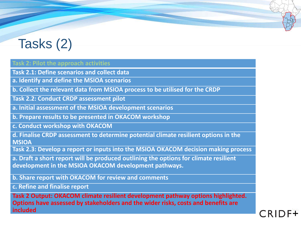## Tasks (2)

#### **Task 2: Pilot the approach activities**

**Task 2.1: Define scenarios and collect data**

**a. Identify and define the MSIOA scenarios**

**b. Collect the relevant data from MSIOA process to be utilised for the CRDP**

**Task 2.2: Conduct CRDP assessment pilot**

**a. Initial assessment of the MSIOA development scenarios**

**b. Prepare results to be presented in OKACOM workshop**

**c. Conduct workshop with OKACOM** 

**d. Finalise CRDP assessment to determine potential climate resilient options in the MSIOA**

**Task 2.3: Develop a report or inputs into the MSIOA OKACOM decision making process**

**a. Draft a short report will be produced outlining the options for climate resilient development in the MSIOA OKACOM development pathways.** 

**b. Share report with OKACOM for review and comments**

**c. Refine and finalise report**

**Task 2 Output: OKACOM climate resilient development pathway options highlighted. Options have assessed by stakeholders and the wider risks, costs and benefits are included**

**CRID**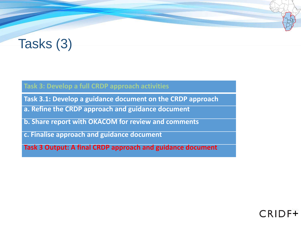### Tasks (3)

#### **Task 3: Develop a full CRDP approach activities**

**Task 3.1: Develop a guidance document on the CRDP approach**

**a. Refine the CRDP approach and guidance document**

**b. Share report with OKACOM for review and comments**

**c. Finalise approach and guidance document** 

**Task 3 Output: A final CRDP approach and guidance document** 

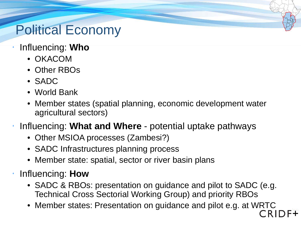### Political Economy

- Influencing: **Who**
	- OKACOM
	- Other RBOs
	- SADC
	- World Bank
	- Member states (spatial planning, economic development water agricultural sectors)
- Influencing: **What and Where**  potential uptake pathways
	- Other MSIOA processes (Zambesi?)
	- SADC Infrastructures planning process
	- Member state: spatial, sector or river basin plans
- Influencing: **How**
	- SADC & RBOs: presentation on guidance and pilot to SADC (e.g. Technical Cross Sectorial Working Group) and priority RBOs
	- Member states: Presentation on guidance and pilot e.g. at WRTC<br>CRID